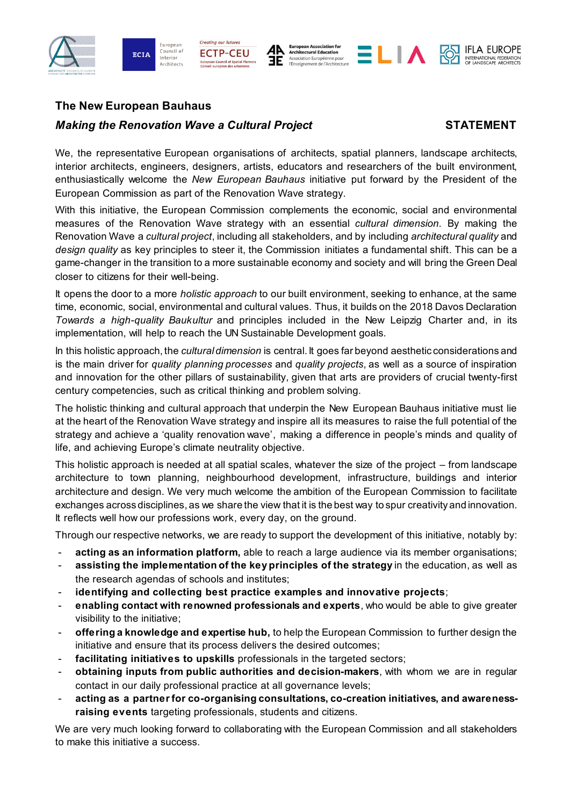







# **The New European Bauhaus**

## *Making the Renovation Wave a Cultural Project STATEMENT*

We, the representative European organisations of architects, spatial planners, landscape architects, interior architects, engineers, designers, artists, educators and researchers of the built environment, enthusiastically welcome the *New European Bauhaus* initiative put forward by the President of the European Commission as part of the Renovation Wave strategy.

With this initiative, the European Commission complements the economic, social and environmental measures of the Renovation Wave strategy with an essential *cultural dimension.* By making the Renovation Wave a *cultural project*, including all stakeholders, and by including *architectural quality* and *design quality* as key principles to steer it, the Commission initiates a fundamental shift. This can be a game-changer in the transition to a more sustainable economy and society and will bring the Green Deal closer to citizens for their well-being.

It opens the door to a more *holistic approach* to our built environment, seeking to enhance, at the same time, economic, social, environmental and cultural values. Thus, it builds on the 2018 Davos Declaration *Towards a high-quality Baukultur* and principles included in the New Leipzig Charter and, in its implementation, will help to reach the UN Sustainable Development goals.

In this holistic approach, the *cultural dimension* is central. It goes far beyond aesthetic considerations and is the main driver for *quality planning processes* and *quality projects*, as well as a source of inspiration and innovation for the other pillars of sustainability, given that arts are providers of crucial twenty-first century competencies, such as critical thinking and problem solving.

The holistic thinking and cultural approach that underpin the New European Bauhaus initiative must lie at the heart of the Renovation Wave strategy and inspire all its measures to raise the full potential of the strategy and achieve a 'quality renovation wave', making a difference in people's minds and quality of life, and achieving Europe's climate neutrality objective.

This holistic approach is needed at all spatial scales, whatever the size of the project – from landscape architecture to town planning, neighbourhood development, infrastructure, buildings and interior architecture and design. We very much welcome the ambition of the European Commission to facilitate exchanges across disciplines, as we share the view that it is the best way to spur creativity and innovation. It reflects well how our professions work, every day, on the ground.

Through our respective networks, we are ready to support the development of this initiative, notably by:

- **acting as an information platform,** able to reach a large audience via its member organisations;
- **assisting the implementation of the key principles of the strategy** in the education, as well as the research agendas of schools and institutes;
- **identifying and collecting best practice examples and innovative projects**;
- **enabling contact with renowned professionals and experts**, who would be able to give greater visibility to the initiative;
- **offering a knowledge and expertise hub,** to help the European Commission to further design the initiative and ensure that its process delivers the desired outcomes;
- facilitating initiatives to upskills professionals in the targeted sectors;
- **obtaining inputs from public authorities and decision-makers**, with whom we are in regular contact in our daily professional practice at all governance levels;
- **acting as a partner for co-organising consultations, co-creation initiatives, and awarenessraising events** targeting professionals, students and citizens.

We are very much looking forward to collaborating with the European Commission and all stakeholders to make this initiative a success.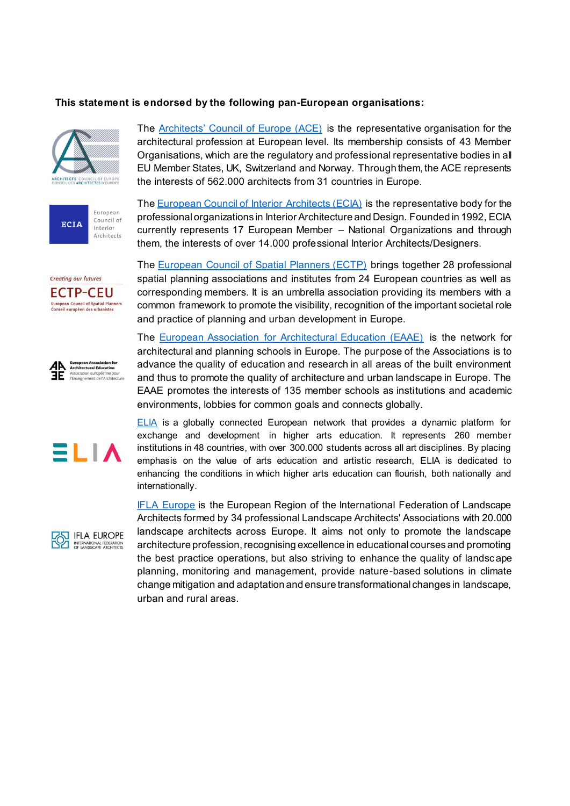## **This statement is endorsed by the following pan-European organisations:**





The [Architects' Council of Europe \(ACE\)](http://www.ace-cae.eu/) is the representative organisation for the architectural profession at European level. Its membership consists of 43 Member Organisations, which are the regulatory and professional representative bodies in all EU Member States, UK, Switzerland and Norway. Through them, the ACE represents the interests of 562.000 architects from 31 countries in Europe.

The [European Council of Interior Architects \(ECIA\)](https://ecia.net/) is the representative body for the professional organizations in Interior Architecture and Design. Founded in 1992, ECIA currently represents 17 European Member – National Organizations and through them, the interests of over 14.000 professional Interior Architects/Designers.









The [European Council of Spatial Planners \(ECTP\)](http://www.ectp-ceu.eu/index.php/en/) brings together 28 professional spatial planning associations and institutes from 24 European countries as well as corresponding members. It is an umbrella association providing its members with a common framework to promote the visibility, recognition of the important societal role and practice of planning and urban development in Europe.

The [European Association for Architectural Education \(EAAE\)](http://www.eaae.be/) is the network for architectural and planning schools in Europe. The purpose of the Associations is to advance the quality of education and research in all areas of the built environment and thus to promote the quality of architecture and urban landscape in Europe. The EAAE promotes the interests of 135 member schools as institutions and academic environments, lobbies for common goals and connects globally.

**ELIA** is a globally connected European network that provides a dynamic platform for exchange and development in higher arts education. It represents 260 member institutions in 48 countries, with over 300.000 students across all art disciplines. By placing emphasis on the value of arts education and artistic research, ELIA is dedicated to enhancing the conditions in which higher arts education can flourish, both nationally and internationally.

**[IFLA Europe](https://iflaeurope.eu/) is the European Region of the International Federation of Landscape** Architects formed by 34 professional Landscape Architects' Associations with 20.000 landscape architects across Europe. It aims not only to promote the landscape architecture profession, recognising excellence in educational courses and promoting the best practice operations, but also striving to enhance the quality of landscape planning, monitoring and management, provide nature-based solutions in climate change mitigation and adaptation and ensure transformational changes in landscape, urban and rural areas.